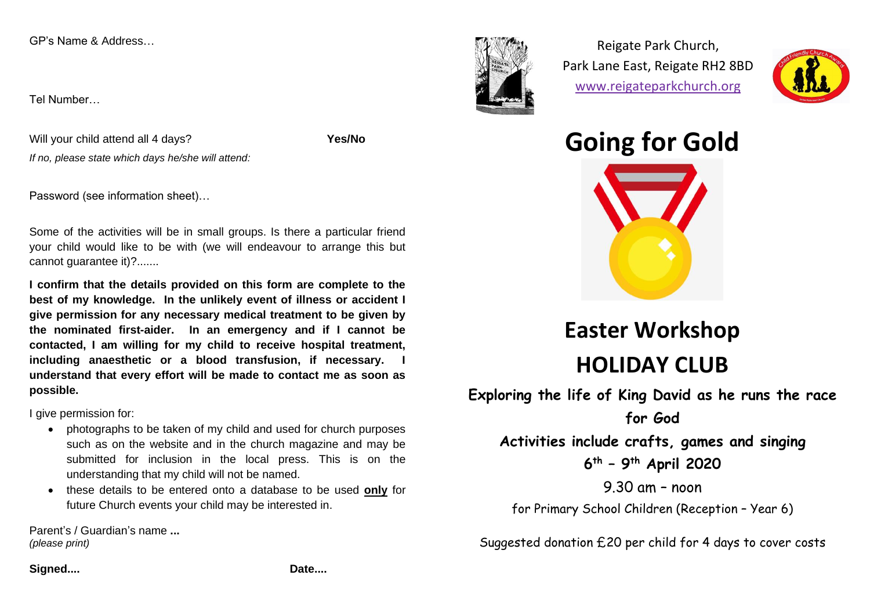GP's Name & Address

Tel Number

Will your child attend all 4 days? If no, please state which days he/she will attend: Yes/No

Password (see information sheet)...

Some of the activities will be in small groups. Is there a particular friend your child would like to be with (we will endeavour to arrange this but cannot quarantee it)?.......

I confirm that the details provided on this form are complete to the best of my knowledge. In the unlikely event of illness or accident I give permission for any necessary medical treatment to be given by the nominated first-aider. In an emergency and if I cannot be contacted, I am willing for my child to receive hospital treatment, including anaesthetic or a blood transfusion, if necessary. I understand that every effort will be made to contact me as soon as possible.

I give permission for:

- photographs to be taken of my child and used for church purposes such as on the website and in the church magazine and may be submitted for inclusion in the local press. This is on the understanding that my child will not be named.
- these details to be entered onto a database to be used only for future Church events your child may be interested in.

Parent's / Guardian's name ... (please print)



Reigate Park Church, Park Lane East, Reigate RH2 8BD www.reigateparkchurch.org



**Going for Gold** 



## **Easter Workshop HOLIDAY CLUB**

Exploring the life of King David as he runs the race

for God Activities include crafts, games and singing  $6^{th}$  - 9<sup>th</sup> April 2020

9.30 am - noon for Primary School Children (Reception - Year 6)

Suggested donation £20 per child for 4 days to cover costs

Signed....

Date....